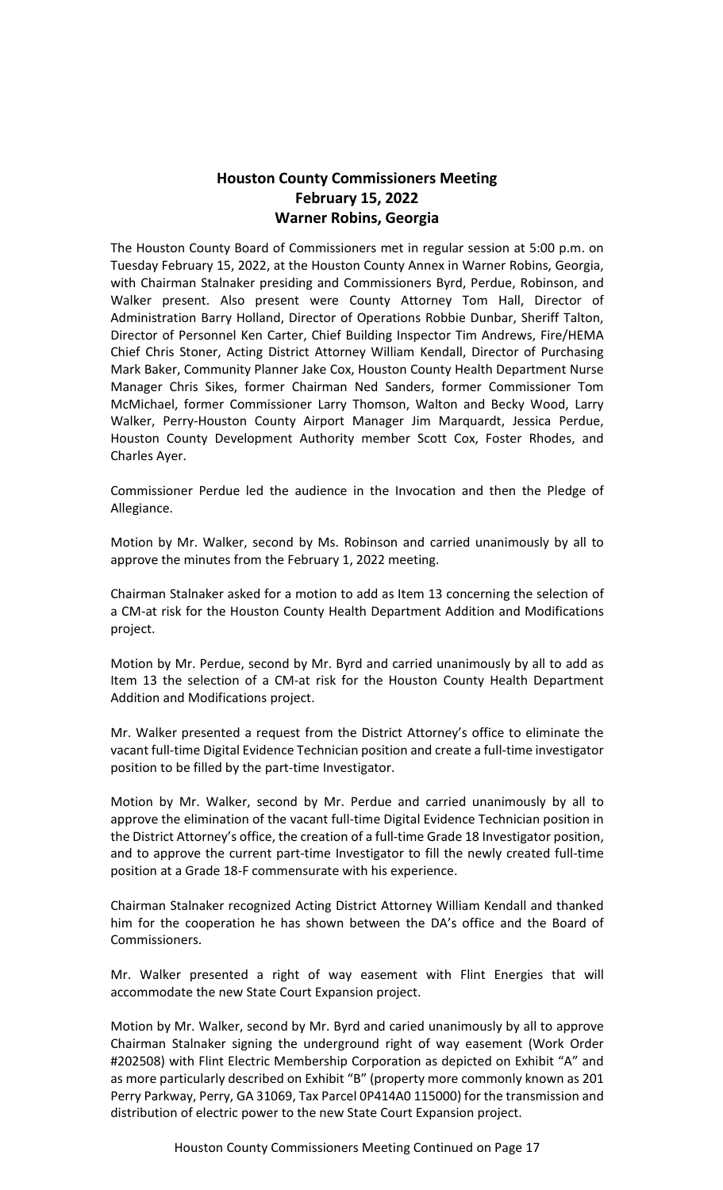# **Houston County Commissioners Meeting February 15, 2022 Warner Robins, Georgia**

The Houston County Board of Commissioners met in regular session at 5:00 p.m. on Tuesday February 15, 2022, at the Houston County Annex in Warner Robins, Georgia, with Chairman Stalnaker presiding and Commissioners Byrd, Perdue, Robinson, and Walker present. Also present were County Attorney Tom Hall, Director of Administration Barry Holland, Director of Operations Robbie Dunbar, Sheriff Talton, Director of Personnel Ken Carter, Chief Building Inspector Tim Andrews, Fire/HEMA Chief Chris Stoner, Acting District Attorney William Kendall, Director of Purchasing Mark Baker, Community Planner Jake Cox, Houston County Health Department Nurse Manager Chris Sikes, former Chairman Ned Sanders, former Commissioner Tom McMichael, former Commissioner Larry Thomson, Walton and Becky Wood, Larry Walker, Perry-Houston County Airport Manager Jim Marquardt, Jessica Perdue, Houston County Development Authority member Scott Cox, Foster Rhodes, and Charles Ayer.

Commissioner Perdue led the audience in the Invocation and then the Pledge of Allegiance.

Motion by Mr. Walker, second by Ms. Robinson and carried unanimously by all to approve the minutes from the February 1, 2022 meeting.

Chairman Stalnaker asked for a motion to add as Item 13 concerning the selection of a CM-at risk for the Houston County Health Department Addition and Modifications project.

Motion by Mr. Perdue, second by Mr. Byrd and carried unanimously by all to add as Item 13 the selection of a CM-at risk for the Houston County Health Department Addition and Modifications project.

Mr. Walker presented a request from the District Attorney's office to eliminate the vacant full-time Digital Evidence Technician position and create a full-time investigator position to be filled by the part-time Investigator.

Motion by Mr. Walker, second by Mr. Perdue and carried unanimously by all to approve the elimination of the vacant full-time Digital Evidence Technician position in the District Attorney's office, the creation of a full-time Grade 18 Investigator position, and to approve the current part-time Investigator to fill the newly created full-time position at a Grade 18-F commensurate with his experience.

Chairman Stalnaker recognized Acting District Attorney William Kendall and thanked him for the cooperation he has shown between the DA's office and the Board of Commissioners.

Mr. Walker presented a right of way easement with Flint Energies that will accommodate the new State Court Expansion project.

Motion by Mr. Walker, second by Mr. Byrd and caried unanimously by all to approve Chairman Stalnaker signing the underground right of way easement (Work Order #202508) with Flint Electric Membership Corporation as depicted on Exhibit "A" and as more particularly described on Exhibit "B" (property more commonly known as 201 Perry Parkway, Perry, GA 31069, Tax Parcel 0P414A0 115000) for the transmission and distribution of electric power to the new State Court Expansion project.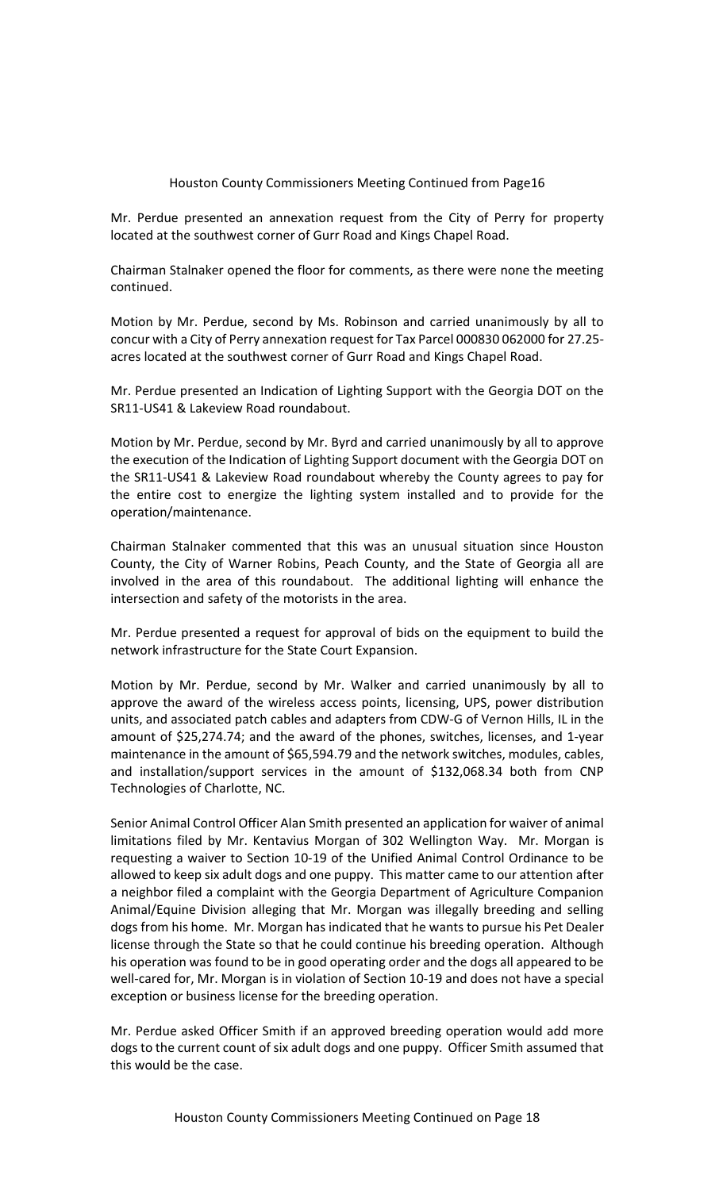Mr. Perdue presented an annexation request from the City of Perry for property located at the southwest corner of Gurr Road and Kings Chapel Road.

Chairman Stalnaker opened the floor for comments, as there were none the meeting continued.

Motion by Mr. Perdue, second by Ms. Robinson and carried unanimously by all to concur with a City of Perry annexation request for Tax Parcel 000830 062000 for 27.25 acres located at the southwest corner of Gurr Road and Kings Chapel Road.

Mr. Perdue presented an Indication of Lighting Support with the Georgia DOT on the SR11-US41 & Lakeview Road roundabout.

Motion by Mr. Perdue, second by Mr. Byrd and carried unanimously by all to approve the execution of the Indication of Lighting Support document with the Georgia DOT on the SR11-US41 & Lakeview Road roundabout whereby the County agrees to pay for the entire cost to energize the lighting system installed and to provide for the operation/maintenance.

Chairman Stalnaker commented that this was an unusual situation since Houston County, the City of Warner Robins, Peach County, and the State of Georgia all are involved in the area of this roundabout. The additional lighting will enhance the intersection and safety of the motorists in the area.

Mr. Perdue presented a request for approval of bids on the equipment to build the network infrastructure for the State Court Expansion.

Motion by Mr. Perdue, second by Mr. Walker and carried unanimously by all to approve the award of the wireless access points, licensing, UPS, power distribution units, and associated patch cables and adapters from CDW-G of Vernon Hills, IL in the amount of \$25,274.74; and the award of the phones, switches, licenses, and 1-year maintenance in the amount of \$65,594.79 and the network switches, modules, cables, and installation/support services in the amount of \$132,068.34 both from CNP Technologies of Charlotte, NC.

Senior Animal Control Officer Alan Smith presented an application for waiver of animal limitations filed by Mr. Kentavius Morgan of 302 Wellington Way. Mr. Morgan is requesting a waiver to Section 10-19 of the Unified Animal Control Ordinance to be allowed to keep six adult dogs and one puppy. This matter came to our attention after a neighbor filed a complaint with the Georgia Department of Agriculture Companion Animal/Equine Division alleging that Mr. Morgan was illegally breeding and selling dogs from his home. Mr. Morgan has indicated that he wants to pursue his Pet Dealer license through the State so that he could continue his breeding operation. Although his operation was found to be in good operating order and the dogs all appeared to be well-cared for, Mr. Morgan is in violation of Section 10-19 and does not have a special exception or business license for the breeding operation.

Mr. Perdue asked Officer Smith if an approved breeding operation would add more dogs to the current count of six adult dogs and one puppy. Officer Smith assumed that this would be the case.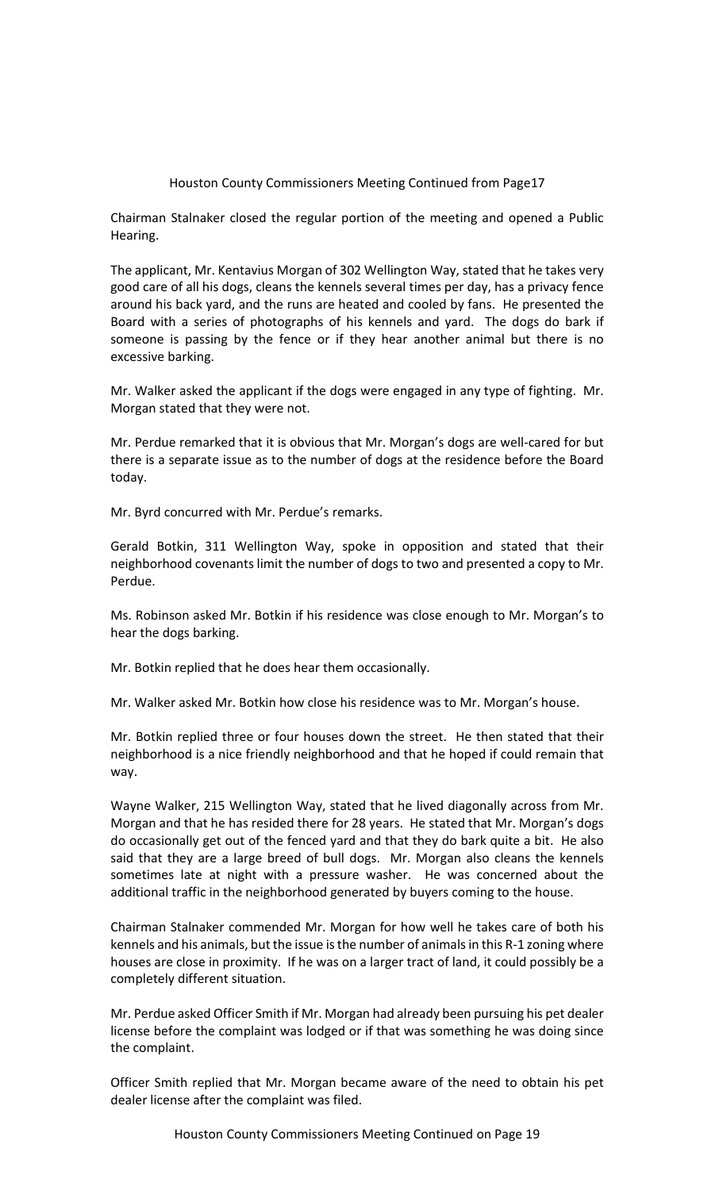Chairman Stalnaker closed the regular portion of the meeting and opened a Public Hearing.

The applicant, Mr. Kentavius Morgan of 302 Wellington Way, stated that he takes very good care of all his dogs, cleans the kennels several times per day, has a privacy fence around his back yard, and the runs are heated and cooled by fans. He presented the Board with a series of photographs of his kennels and yard. The dogs do bark if someone is passing by the fence or if they hear another animal but there is no excessive barking.

Mr. Walker asked the applicant if the dogs were engaged in any type of fighting. Mr. Morgan stated that they were not.

Mr. Perdue remarked that it is obvious that Mr. Morgan's dogs are well-cared for but there is a separate issue as to the number of dogs at the residence before the Board today.

Mr. Byrd concurred with Mr. Perdue's remarks.

Gerald Botkin, 311 Wellington Way, spoke in opposition and stated that their neighborhood covenants limit the number of dogs to two and presented a copy to Mr. Perdue.

Ms. Robinson asked Mr. Botkin if his residence was close enough to Mr. Morgan's to hear the dogs barking.

Mr. Botkin replied that he does hear them occasionally.

Mr. Walker asked Mr. Botkin how close his residence was to Mr. Morgan's house.

Mr. Botkin replied three or four houses down the street. He then stated that their neighborhood is a nice friendly neighborhood and that he hoped if could remain that way.

Wayne Walker, 215 Wellington Way, stated that he lived diagonally across from Mr. Morgan and that he has resided there for 28 years. He stated that Mr. Morgan's dogs do occasionally get out of the fenced yard and that they do bark quite a bit. He also said that they are a large breed of bull dogs. Mr. Morgan also cleans the kennels sometimes late at night with a pressure washer. He was concerned about the additional traffic in the neighborhood generated by buyers coming to the house.

Chairman Stalnaker commended Mr. Morgan for how well he takes care of both his kennels and his animals, but the issue is the number of animals in this R-1 zoning where houses are close in proximity. If he was on a larger tract of land, it could possibly be a completely different situation.

Mr. Perdue asked Officer Smith if Mr. Morgan had already been pursuing his pet dealer license before the complaint was lodged or if that was something he was doing since the complaint.

Officer Smith replied that Mr. Morgan became aware of the need to obtain his pet dealer license after the complaint was filed.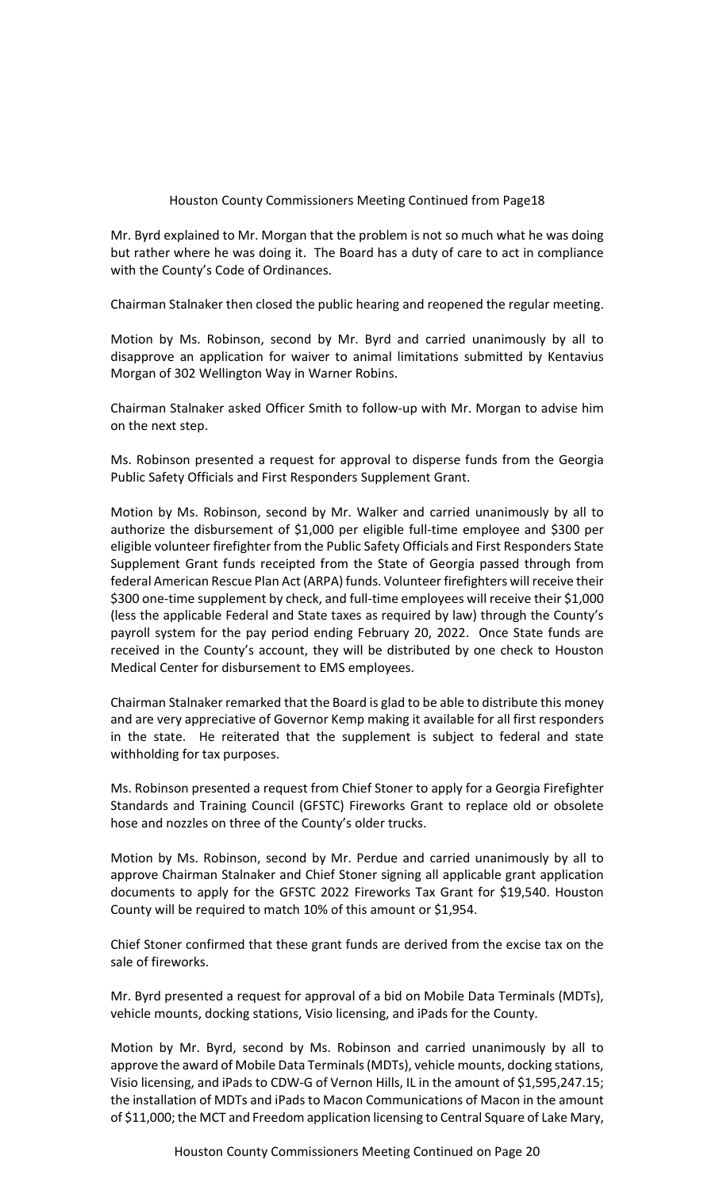Mr. Byrd explained to Mr. Morgan that the problem is not so much what he was doing but rather where he was doing it. The Board has a duty of care to act in compliance with the County's Code of Ordinances.

Chairman Stalnaker then closed the public hearing and reopened the regular meeting.

Motion by Ms. Robinson, second by Mr. Byrd and carried unanimously by all to disapprove an application for waiver to animal limitations submitted by Kentavius Morgan of 302 Wellington Way in Warner Robins.

Chairman Stalnaker asked Officer Smith to follow-up with Mr. Morgan to advise him on the next step.

Ms. Robinson presented a request for approval to disperse funds from the Georgia Public Safety Officials and First Responders Supplement Grant.

Motion by Ms. Robinson, second by Mr. Walker and carried unanimously by all to authorize the disbursement of \$1,000 per eligible full-time employee and \$300 per eligible volunteer firefighter from the Public Safety Officials and First Responders State Supplement Grant funds receipted from the State of Georgia passed through from federal American Rescue Plan Act (ARPA) funds. Volunteer firefighters will receive their \$300 one-time supplement by check, and full-time employees will receive their \$1,000 (less the applicable Federal and State taxes as required by law) through the County's payroll system for the pay period ending February 20, 2022. Once State funds are received in the County's account, they will be distributed by one check to Houston Medical Center for disbursement to EMS employees.

Chairman Stalnaker remarked that the Board is glad to be able to distribute this money and are very appreciative of Governor Kemp making it available for all first responders in the state. He reiterated that the supplement is subject to federal and state withholding for tax purposes.

Ms. Robinson presented a request from Chief Stoner to apply for a Georgia Firefighter Standards and Training Council (GFSTC) Fireworks Grant to replace old or obsolete hose and nozzles on three of the County's older trucks.

Motion by Ms. Robinson, second by Mr. Perdue and carried unanimously by all to approve Chairman Stalnaker and Chief Stoner signing all applicable grant application documents to apply for the GFSTC 2022 Fireworks Tax Grant for \$19,540. Houston County will be required to match 10% of this amount or \$1,954.

Chief Stoner confirmed that these grant funds are derived from the excise tax on the sale of fireworks.

Mr. Byrd presented a request for approval of a bid on Mobile Data Terminals (MDTs), vehicle mounts, docking stations, Visio licensing, and iPads for the County.

Motion by Mr. Byrd, second by Ms. Robinson and carried unanimously by all to approve the award of Mobile Data Terminals (MDTs), vehicle mounts, docking stations, Visio licensing, and iPads to CDW-G of Vernon Hills, IL in the amount of \$1,595,247.15; the installation of MDTs and iPads to Macon Communications of Macon in the amount of \$11,000; the MCT and Freedom application licensing to Central Square of Lake Mary,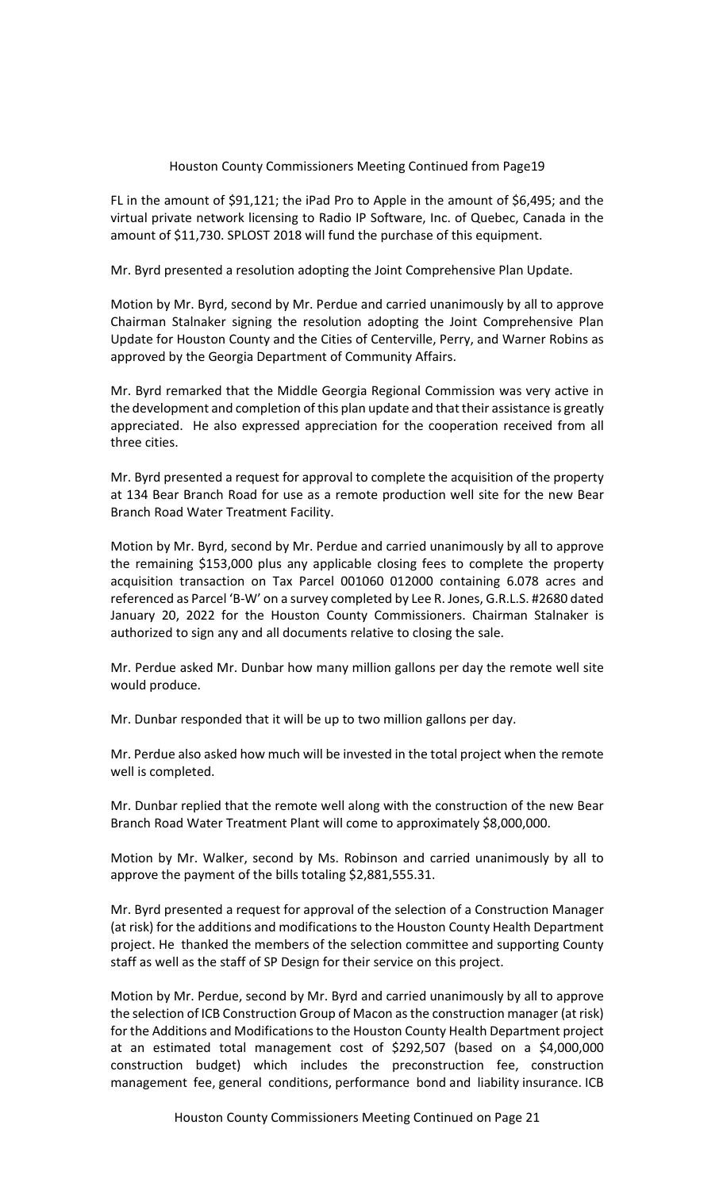FL in the amount of \$91,121; the iPad Pro to Apple in the amount of \$6,495; and the virtual private network licensing to Radio IP Software, Inc. of Quebec, Canada in the amount of \$11,730. SPLOST 2018 will fund the purchase of this equipment.

Mr. Byrd presented a resolution adopting the Joint Comprehensive Plan Update.

Motion by Mr. Byrd, second by Mr. Perdue and carried unanimously by all to approve Chairman Stalnaker signing the resolution adopting the Joint Comprehensive Plan Update for Houston County and the Cities of Centerville, Perry, and Warner Robins as approved by the Georgia Department of Community Affairs.

Mr. Byrd remarked that the Middle Georgia Regional Commission was very active in the development and completion of this plan update and that their assistance is greatly appreciated. He also expressed appreciation for the cooperation received from all three cities.

Mr. Byrd presented a request for approval to complete the acquisition of the property at 134 Bear Branch Road for use as a remote production well site for the new Bear Branch Road Water Treatment Facility.

Motion by Mr. Byrd, second by Mr. Perdue and carried unanimously by all to approve the remaining \$153,000 plus any applicable closing fees to complete the property acquisition transaction on Tax Parcel 001060 012000 containing 6.078 acres and referenced as Parcel 'B-W' on a survey completed by Lee R. Jones, G.R.L.S. #2680 dated January 20, 2022 for the Houston County Commissioners. Chairman Stalnaker is authorized to sign any and all documents relative to closing the sale.

Mr. Perdue asked Mr. Dunbar how many million gallons per day the remote well site would produce.

Mr. Dunbar responded that it will be up to two million gallons per day.

Mr. Perdue also asked how much will be invested in the total project when the remote well is completed.

Mr. Dunbar replied that the remote well along with the construction of the new Bear Branch Road Water Treatment Plant will come to approximately \$8,000,000.

Motion by Mr. Walker, second by Ms. Robinson and carried unanimously by all to approve the payment of the bills totaling \$2,881,555.31.

Mr. Byrd presented a request for approval of the selection of a Construction Manager (at risk) for the additions and modifications to the Houston County Health Department project. He thanked the members of the selection committee and supporting County staff as well as the staff of SP Design for their service on this project.

Motion by Mr. Perdue, second by Mr. Byrd and carried unanimously by all to approve the selection of ICB Construction Group of Macon as the construction manager (at risk) for the Additions and Modifications to the Houston County Health Department project at an estimated total management cost of \$292,507 (based on a \$4,000,000 construction budget) which includes the preconstruction fee, construction management fee, general conditions, performance bond and liability insurance. ICB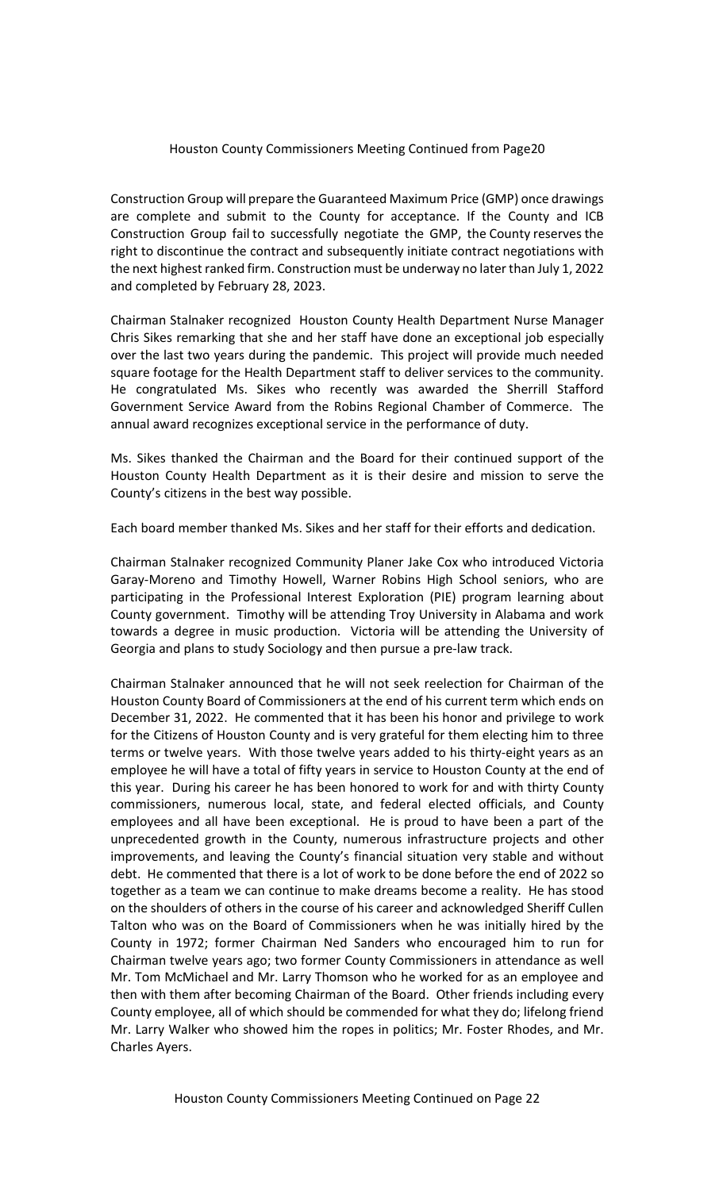Construction Group will prepare the Guaranteed Maximum Price (GMP) once drawings are complete and submit to the County for acceptance. If the County and ICB Construction Group fail to successfully negotiate the GMP, the County reserves the right to discontinue the contract and subsequently initiate contract negotiations with the next highest ranked firm. Construction must be underway no later than July 1, 2022 and completed by February 28, 2023.

Chairman Stalnaker recognized Houston County Health Department Nurse Manager Chris Sikes remarking that she and her staff have done an exceptional job especially over the last two years during the pandemic. This project will provide much needed square footage for the Health Department staff to deliver services to the community. He congratulated Ms. Sikes who recently was awarded the Sherrill Stafford Government Service Award from the Robins Regional Chamber of Commerce. The annual award recognizes exceptional service in the performance of duty.

Ms. Sikes thanked the Chairman and the Board for their continued support of the Houston County Health Department as it is their desire and mission to serve the County's citizens in the best way possible.

Each board member thanked Ms. Sikes and her staff for their efforts and dedication.

Chairman Stalnaker recognized Community Planer Jake Cox who introduced Victoria Garay-Moreno and Timothy Howell, Warner Robins High School seniors, who are participating in the Professional Interest Exploration (PIE) program learning about County government. Timothy will be attending Troy University in Alabama and work towards a degree in music production. Victoria will be attending the University of Georgia and plans to study Sociology and then pursue a pre-law track.

Chairman Stalnaker announced that he will not seek reelection for Chairman of the Houston County Board of Commissioners at the end of his current term which ends on December 31, 2022. He commented that it has been his honor and privilege to work for the Citizens of Houston County and is very grateful for them electing him to three terms or twelve years. With those twelve years added to his thirty-eight years as an employee he will have a total of fifty years in service to Houston County at the end of this year. During his career he has been honored to work for and with thirty County commissioners, numerous local, state, and federal elected officials, and County employees and all have been exceptional. He is proud to have been a part of the unprecedented growth in the County, numerous infrastructure projects and other improvements, and leaving the County's financial situation very stable and without debt. He commented that there is a lot of work to be done before the end of 2022 so together as a team we can continue to make dreams become a reality. He has stood on the shoulders of others in the course of his career and acknowledged Sheriff Cullen Talton who was on the Board of Commissioners when he was initially hired by the County in 1972; former Chairman Ned Sanders who encouraged him to run for Chairman twelve years ago; two former County Commissioners in attendance as well Mr. Tom McMichael and Mr. Larry Thomson who he worked for as an employee and then with them after becoming Chairman of the Board. Other friends including every County employee, all of which should be commended for what they do; lifelong friend Mr. Larry Walker who showed him the ropes in politics; Mr. Foster Rhodes, and Mr. Charles Ayers.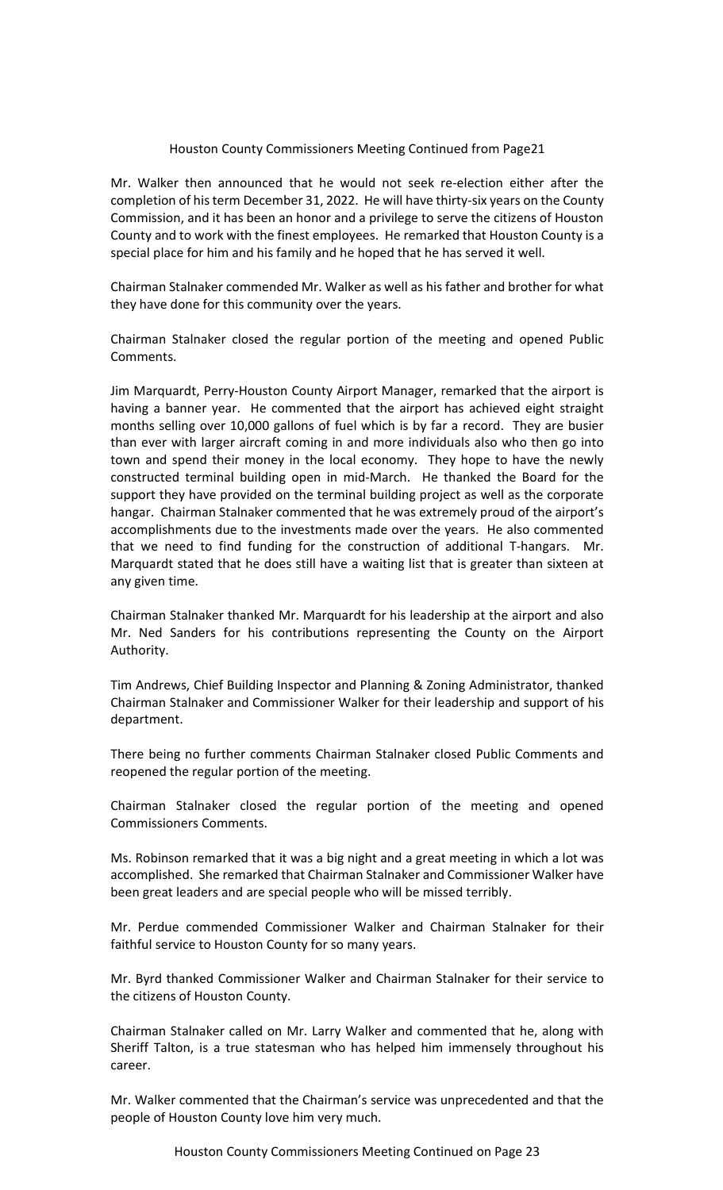Mr. Walker then announced that he would not seek re-election either after the completion of his term December 31, 2022. He will have thirty-six years on the County Commission, and it has been an honor and a privilege to serve the citizens of Houston County and to work with the finest employees. He remarked that Houston County is a special place for him and his family and he hoped that he has served it well.

Chairman Stalnaker commended Mr. Walker as well as his father and brother for what they have done for this community over the years.

Chairman Stalnaker closed the regular portion of the meeting and opened Public Comments.

Jim Marquardt, Perry-Houston County Airport Manager, remarked that the airport is having a banner year. He commented that the airport has achieved eight straight months selling over 10,000 gallons of fuel which is by far a record. They are busier than ever with larger aircraft coming in and more individuals also who then go into town and spend their money in the local economy. They hope to have the newly constructed terminal building open in mid-March. He thanked the Board for the support they have provided on the terminal building project as well as the corporate hangar. Chairman Stalnaker commented that he was extremely proud of the airport's accomplishments due to the investments made over the years. He also commented that we need to find funding for the construction of additional T-hangars. Mr. Marquardt stated that he does still have a waiting list that is greater than sixteen at any given time.

Chairman Stalnaker thanked Mr. Marquardt for his leadership at the airport and also Mr. Ned Sanders for his contributions representing the County on the Airport Authority.

Tim Andrews, Chief Building Inspector and Planning & Zoning Administrator, thanked Chairman Stalnaker and Commissioner Walker for their leadership and support of his department.

There being no further comments Chairman Stalnaker closed Public Comments and reopened the regular portion of the meeting.

Chairman Stalnaker closed the regular portion of the meeting and opened Commissioners Comments.

Ms. Robinson remarked that it was a big night and a great meeting in which a lot was accomplished. She remarked that Chairman Stalnaker and Commissioner Walker have been great leaders and are special people who will be missed terribly.

Mr. Perdue commended Commissioner Walker and Chairman Stalnaker for their faithful service to Houston County for so many years.

Mr. Byrd thanked Commissioner Walker and Chairman Stalnaker for their service to the citizens of Houston County.

Chairman Stalnaker called on Mr. Larry Walker and commented that he, along with Sheriff Talton, is a true statesman who has helped him immensely throughout his career.

Mr. Walker commented that the Chairman's service was unprecedented and that the people of Houston County love him very much.